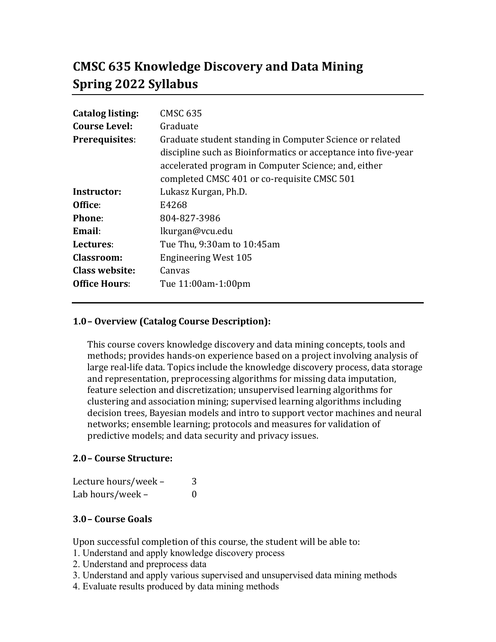# **CMSC 635 Knowledge Discovery and Data Mining Spring 2022 Syllabus**

| <b>Catalog listing:</b> | <b>CMSC 635</b>                                                                                                            |
|-------------------------|----------------------------------------------------------------------------------------------------------------------------|
| <b>Course Level:</b>    | Graduate                                                                                                                   |
| <b>Prerequisites:</b>   | Graduate student standing in Computer Science or related<br>discipline such as Bioinformatics or acceptance into five-year |
|                         | accelerated program in Computer Science; and, either<br>completed CMSC 401 or co-requisite CMSC 501                        |
| Instructor:             | Lukasz Kurgan, Ph.D.                                                                                                       |
| Office:                 | E4268                                                                                                                      |
| <b>Phone:</b>           | 804-827-3986                                                                                                               |
| Email:                  | lkurgan@vcu.edu                                                                                                            |
| Lectures:               | Tue Thu, 9:30am to 10:45am                                                                                                 |
| <b>Classroom:</b>       | <b>Engineering West 105</b>                                                                                                |
| <b>Class website:</b>   | Canvas                                                                                                                     |
| <b>Office Hours:</b>    | Tue 11:00am-1:00pm                                                                                                         |

# **1.0– Overview (Catalog Course Description):**

This course covers knowledge discovery and data mining concepts, tools and methods; provides hands-on experience based on a project involving analysis of large real-life data. Topics include the knowledge discovery process, data storage and representation, preprocessing algorithms for missing data imputation, feature selection and discretization; unsupervised learning algorithms for clustering and association mining; supervised learning algorithms including decision trees, Bayesian models and intro to support vector machines and neural networks; ensemble learning; protocols and measures for validation of predictive models; and data security and privacy issues.

## **2.0– Course Structure:**

| Lecture hours/week - | 3        |
|----------------------|----------|
| Lab hours/week -     | $\theta$ |

# **3.0– Course Goals**

Upon successful completion of this course, the student will be able to:

- 1. Understand and apply knowledge discovery process
- 2. Understand and preprocess data
- 3. Understand and apply various supervised and unsupervised data mining methods
- 4. Evaluate results produced by data mining methods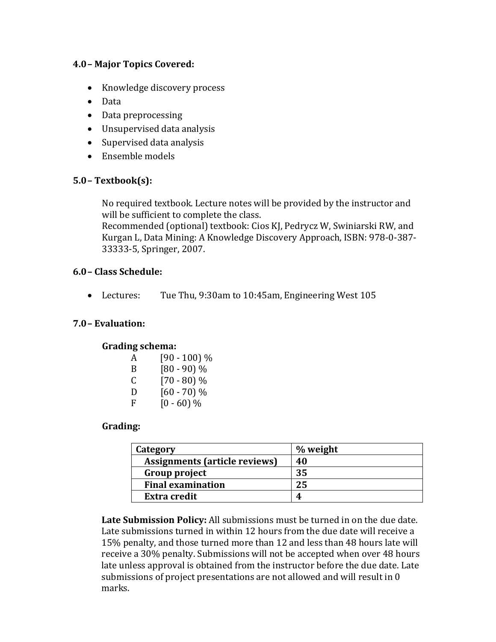## **4.0– Major Topics Covered:**

- Knowledge discovery process
- Data
- Data preprocessing
- Unsupervised data analysis
- Supervised data analysis
- Ensemble models

## **5.0– Textbook(s):**

No required textbook. Lecture notes will be provided by the instructor and will be sufficient to complete the class.

Recommended (optional) textbook: Cios KJ, Pedrycz W, Swiniarski RW, and Kurgan L, Data Mining: A Knowledge Discovery Approach, ISBN: 978-0-387- 33333-5, Springer, 2007.

## **6.0– Class Schedule:**

Lectures: Tue Thu, 9:30am to 10:45am, Engineering West 105

## **7.0– Evaluation:**

## **Grading schema:**

| A | $[90 - 100]$ % |
|---|----------------|
| B | $[80 - 90]$ %  |
| C | $[70 - 80]$ %  |
| D | $[60 - 70]$ %  |
| F | $[0 - 60]$ %   |

# **Grading:**

| Category                      | % weight |
|-------------------------------|----------|
| Assignments (article reviews) | 40       |
| Group project                 | 35       |
| <b>Final examination</b>      | 25       |
| <b>Extra credit</b>           | 4        |

**Late Submission Policy:** All submissions must be turned in on the due date. Late submissions turned in within 12 hours from the due date will receive a 15% penalty, and those turned more than 12 and less than 48 hours late will receive a 30% penalty. Submissions will not be accepted when over 48 hours late unless approval is obtained from the instructor before the due date. Late submissions of project presentations are not allowed and will result in 0 marks.